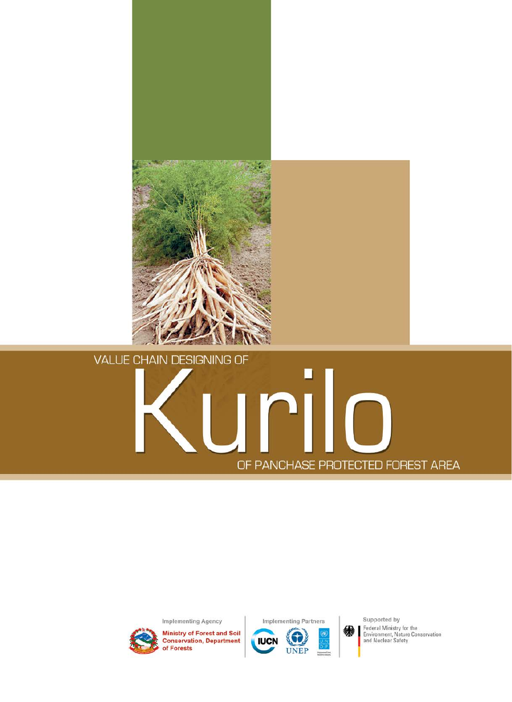

# **VALUE CHAIN DESIGNING OF**

# OF PANCHASE PROTECTED FOREST AREA

Implementing Agency



**Ministry of Forest and Soil Conservation, Department** of Forests



Supported by Federal Ministry for the<br>Environment, Nature Conservation<br>and Nuclear Safety

缵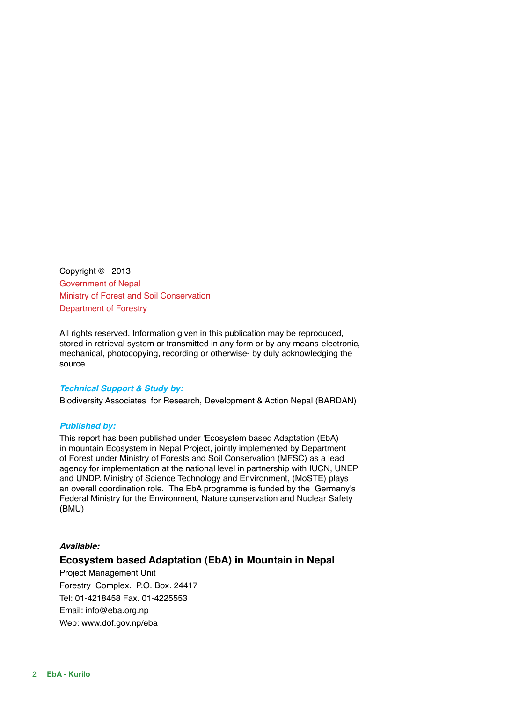Copyright © 2013 Government of Nepal Ministry of Forest and Soil Conservation Department of Forestry

All rights reserved. Information given in this publication may be reproduced, stored in retrieval system or transmitted in any form or by any means-electronic, mechanical, photocopying, recording or otherwise- by duly acknowledging the source.

### *Technical Support & Study by:*

Biodiversity Associates for Research, Development & Action Nepal (BARDAN)

### *Published by:*

This report has been published under 'Ecosystem based Adaptation (EbA) in mountain Ecosystem in Nepal Project, jointly implemented by Department of Forest under Ministry of Forests and Soil Conservation (MFSC) as a lead agency for implementation at the national level in partnership with IUCN, UNEP and UNDP. Ministry of Science Technology and Environment, (MoSTE) plays an overall coordination role. The EbA programme is funded by the Germany's Federal Ministry for the Environment, Nature conservation and Nuclear Safety (BMU)

### *Available:*

### **Ecosystem based Adaptation (EbA) in Mountain in Nepal**

Project Management Unit Forestry Complex. P.O. Box. 24417 Tel: 01-4218458 Fax. 01-4225553 Email: info@eba.org.np Web: www.dof.gov.np/eba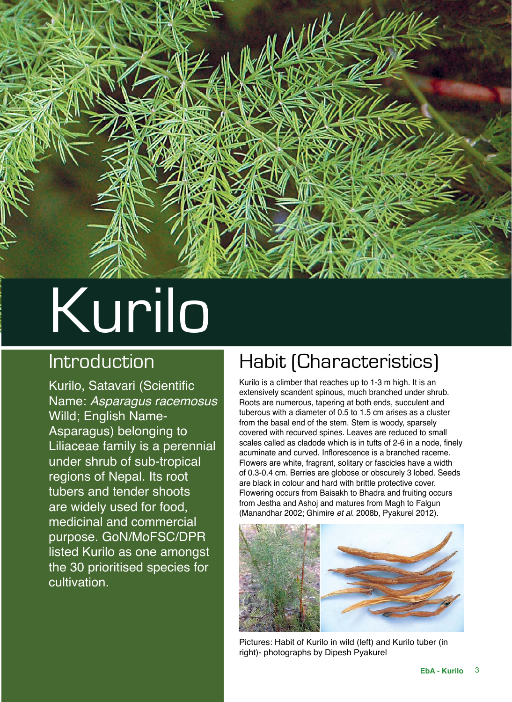

# Kurilo

# Introduction

Kurilo, Satavari (Scientific Name: *Asparagus racemosus* Willd; English Name-Asparagus) belonging to Liliaceae family is a perennial under shrub of sub-tropical regions of Nepal. Its root tubers and tender shoots are widely used for food, medicinal and commercial purpose. GoN/MoFSC/DPR listed Kurilo as one amongst the 30 prioritised species for cultivation.

# Habit (Characteristics)

Kurilo is a climber that reaches up to 1-3 m high. It is an extensively scandent spinous, much branched under shrub. Roots are numerous, tapering at both ends, succulent and tuberous with a diameter of 0.5 to 1.5 cm arises as a cluster from the basal end of the stem. Stem is woody, sparsely covered with recurved spines. Leaves are reduced to small scales called as cladode which is in tufts of 2-6 in a node, finely acuminate and curved. Inflorescence is a branched raceme. Flowers are white, fragrant, solitary or fascicles have a width of 0.3-0.4 cm. Berries are globose or obscurely 3 lobed. Seeds are black in colour and hard with brittle protective cover. Flowering occurs from Baisakh to Bhadra and fruiting occurs from Jestha and Ashoj and matures from Magh to Falgun (Manandhar 2002; Ghimire *et al.* 2008b, Pyakurel 2012).



Pictures: Habit of Kurilo in wild (left) and Kurilo tuber (in right)- photographs by Dipesh Pyakurel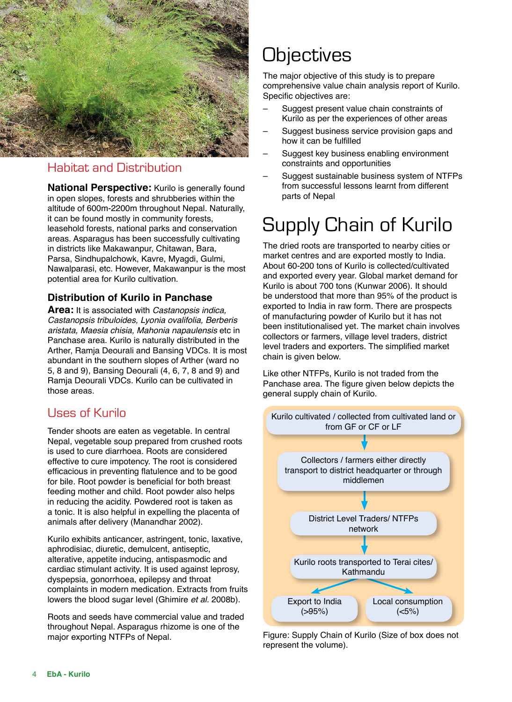

# Habitat and Distribution

**National Perspective:** Kurilo is generally found in open slopes, forests and shrubberies within the altitude of 600m-2200m throughout Nepal. Naturally, it can be found mostly in community forests, leasehold forests, national parks and conservation areas. Asparagus has been successfully cultivating in districts like Makawanpur, Chitawan, Bara, Parsa, Sindhupalchowk, Kavre, Myagdi, Gulmi, Nawalparasi, etc. However, Makawanpur is the most potential area for Kurilo cultivation.

### **Distribution of Kurilo in Panchase**

**Area:** It is associated with *Castanopsis indica, Castanopsis tribuloides, Lyonia ovalifolia, Berberis aristata, Maesia chisia, Mahonia napaulensis* etc in Panchase area. Kurilo is naturally distributed in the Arther, Ramja Deourali and Bansing VDCs. It is most abundant in the southern slopes of Arther (ward no 5, 8 and 9), Bansing Deourali (4, 6, 7, 8 and 9) and Ramja Deourali VDCs. Kurilo can be cultivated in those areas.

### Uses of Kurilo

Tender shoots are eaten as vegetable. In central Nepal, vegetable soup prepared from crushed roots is used to cure diarrhoea. Roots are considered effective to cure impotency. The root is considered efficacious in preventing flatulence and to be good for bile. Root powder is beneficial for both breast feeding mother and child. Root powder also helps in reducing the acidity. Powdered root is taken as a tonic. It is also helpful in expelling the placenta of animals after delivery (Manandhar 2002).

Kurilo exhibits anticancer, astringent, tonic, laxative, aphrodisiac, diuretic, demulcent, antiseptic, alterative, appetite inducing, antispasmodic and cardiac stimulant activity. It is used against leprosy, dyspepsia, gonorrhoea, epilepsy and throat complaints in modern medication. Extracts from fruits lowers the blood sugar level (Ghimire *et al.* 2008b).

Roots and seeds have commercial value and traded throughout Nepal. Asparagus rhizome is one of the major exporting NTFPs of Nepal.

# **Objectives**

The major objective of this study is to prepare comprehensive value chain analysis report of Kurilo. Specific objectives are:

- Suggest present value chain constraints of Kurilo as per the experiences of other areas
- Suggest business service provision gaps and how it can be fulfilled
- Suggest key business enabling environment constraints and opportunities
- Suggest sustainable business system of NTFPs from successful lessons learnt from different parts of Nepal

# Supply Chain of Kurilo

The dried roots are transported to nearby cities or market centres and are exported mostly to India. About 60-200 tons of Kurilo is collected/cultivated and exported every year. Global market demand for Kurilo is about 700 tons (Kunwar 2006). It should be understood that more than 95% of the product is exported to India in raw form. There are prospects of manufacturing powder of Kurilo but it has not been institutionalised yet. The market chain involves collectors or farmers, village level traders, district level traders and exporters. The simplified market chain is given below.

Like other NTFPs, Kurilo is not traded from the Panchase area. The figure given below depicts the general supply chain of Kurilo.



Figure: Supply Chain of Kurilo (Size of box does not represent the volume).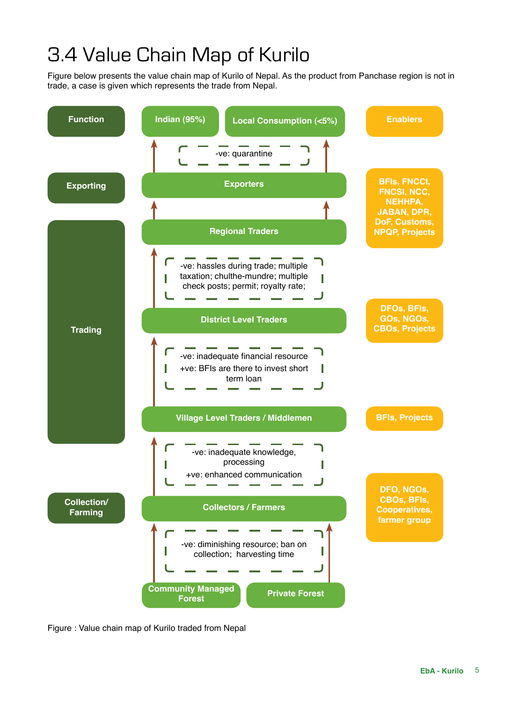# 3.4 Value Chain Map of Kurilo

Figure below presents the value chain map of Kurilo of Nepal. As the product from Panchase region is not in trade, a case is given which represents the trade from Nepal.



Figure : Value chain map of Kurilo traded from Nepal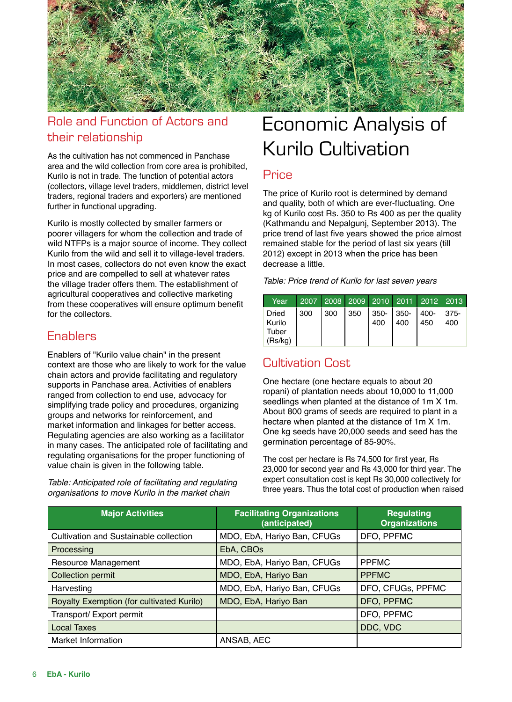

# Role and Function of Actors and their relationship

As the cultivation has not commenced in Panchase area and the wild collection from core area is prohibited, Kurilo is not in trade. The function of potential actors (collectors, village level traders, middlemen, district level traders, regional traders and exporters) are mentioned further in functional upgrading.

Kurilo is mostly collected by smaller farmers or poorer villagers for whom the collection and trade of wild NTFPs is a major source of income. They collect Kurilo from the wild and sell it to village-level traders. In most cases, collectors do not even know the exact price and are compelled to sell at whatever rates the village trader offers them. The establishment of agricultural cooperatives and collective marketing from these cooperatives will ensure optimum benefit for the collectors.

# **Enablers**

Enablers of "Kurilo value chain" in the present context are those who are likely to work for the value chain actors and provide facilitating and regulatory supports in Panchase area. Activities of enablers ranged from collection to end use, advocacy for simplifying trade policy and procedures, organizing groups and networks for reinforcement, and market information and linkages for better access. Regulating agencies are also working as a facilitator in many cases. The anticipated role of facilitating and regulating organisations for the proper functioning of value chain is given in the following table.

*Table: Anticipated role of facilitating and regulating organisations to move Kurilo in the market chain*

# Economic Analysis of Kurilo Cultivation

# **Price**

The price of Kurilo root is determined by demand and quality, both of which are ever-fluctuating. One kg of Kurilo cost Rs. 350 to Rs 400 as per the quality (Kathmandu and Nepalgunj, September 2013). The price trend of last five years showed the price almost remained stable for the period of last six years (till 2012) except in 2013 when the price has been decrease a little.

*Table: Price trend of Kurilo for last seven years*

| Year                                | 2007 2008 2009 2010 2011 2012 2013 |  |     |               |     |     |
|-------------------------------------|------------------------------------|--|-----|---------------|-----|-----|
| Dried<br>Kurilo<br>Tuber<br>(Rs/kg) | $ 300 300 350 350- 350- 400- 375-$ |  | 400 | $ 400\rangle$ | 450 | 400 |

# Cultivation Cost

One hectare (one hectare equals to about 20 ropani) of plantation needs about 10,000 to 11,000 seedlings when planted at the distance of 1m X 1m. About 800 grams of seeds are required to plant in a hectare when planted at the distance of 1m X 1m. One kg seeds have 20,000 seeds and seed has the germination percentage of 85-90%.

The cost per hectare is Rs 74,500 for first year, Rs 23,000 for second year and Rs 43,000 for third year. The expert consultation cost is kept Rs 30,000 collectively for three years. Thus the total cost of production when raised

| <b>Major Activities</b>                       | <b>Facilitating Organizations</b><br>(anticipated) | <b>Regulating</b><br><b>Organizations</b> |
|-----------------------------------------------|----------------------------------------------------|-------------------------------------------|
| <b>Cultivation and Sustainable collection</b> | MDO, EbA, Hariyo Ban, CFUGs                        | DFO, PPFMC                                |
| Processing                                    | EbA, CBOs                                          |                                           |
| Resource Management                           | MDO, EbA, Hariyo Ban, CFUGs                        | <b>PPFMC</b>                              |
| <b>Collection permit</b>                      | MDO, EbA, Hariyo Ban                               | <b>PPFMC</b>                              |
| Harvesting                                    | MDO, EbA, Hariyo Ban, CFUGs                        | DFO, CFUGs, PPFMC                         |
| Royalty Exemption (for cultivated Kurilo)     | MDO, EbA, Hariyo Ban                               | DFO, PPFMC                                |
| Transport/ Export permit                      |                                                    | DFO, PPFMC                                |
| <b>Local Taxes</b>                            |                                                    | DDC, VDC                                  |
| Market Information                            | ANSAB, AEC                                         |                                           |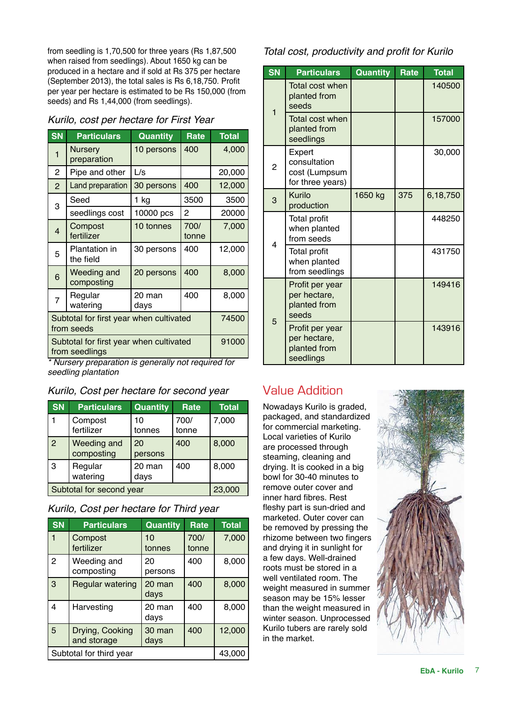from seedling is 1,70,500 for three years (Rs 1,87,500 when raised from seedlings). About 1650 kg can be produced in a hectare and if sold at Rs 375 per hectare (September 2013), the total sales is Rs 6,18,750. Profit per year per hectare is estimated to be Rs 150,000 (from seeds) and Rs 1,44,000 (from seedlings).

### *Kurilo, cost per hectare for First Year*

| <b>SN</b>                                             | <b>Particulars</b>                                        | <b>Quantity</b> | Rate          | <b>Total</b> |
|-------------------------------------------------------|-----------------------------------------------------------|-----------------|---------------|--------------|
| 1                                                     | Nursery<br>preparation                                    | 10 persons      | 400           | 4,000        |
| $\overline{c}$                                        | Pipe and other                                            | L/s             |               | 20,000       |
| $\overline{2}$                                        | Land preparation                                          | 30 persons      | 400           | 12,000       |
| 3                                                     | Seed                                                      | 1 kg            | 3500          | 3500         |
|                                                       | seedlings cost                                            | 10000 pcs       | 2             | 20000        |
| $\overline{4}$                                        | Compost<br>fertilizer                                     | 10 tonnes       | 700/<br>tonne | 7,000        |
| 5                                                     | <b>Plantation in</b><br>the field                         | 30 persons      | 400           | 12,000       |
| 6                                                     | Weeding and<br>composting                                 | 20 persons      | 400           | 8,000        |
| $\overline{7}$                                        | Regular<br>watering                                       | 20 man<br>days  | 400           | 8,000        |
| Subtotal for first year when cultivated<br>from seeds |                                                           |                 | 74500         |              |
|                                                       | Subtotal for first year when cultivated<br>from seedlings |                 |               | 91000        |

*\* Nursery preparation is generally not required for seedling plantation*

*Kurilo, Cost per hectare for second year*

| <b>SN</b>                | <b>Particulars</b>        | <b>Quantity</b> | Rate          | <b>Total</b> |
|--------------------------|---------------------------|-----------------|---------------|--------------|
|                          | Compost<br>fertilizer     | 10<br>tonnes    | 700/<br>tonne | 7,000        |
| $\overline{2}$           | Weeding and<br>composting | 20<br>persons   | 400           | 8,000        |
| 3                        | Regular<br>watering       | 20 man<br>days  | 400           | 8,000        |
| Subtotal for second year |                           |                 | 23,000        |              |

|  | Kurilo, Cost per hectare for Third year |  |  |  |  |
|--|-----------------------------------------|--|--|--|--|
|--|-----------------------------------------|--|--|--|--|

| <b>SN</b>               | <b>Particulars</b>      | Quantity | Rate  | <b>Total</b> |
|-------------------------|-------------------------|----------|-------|--------------|
|                         | Compost                 | 10       | 700/  | 7,000        |
|                         | fertilizer              | tonnes   | tonne |              |
| $\overline{2}$          | Weeding and             | 20       | 400   | 8,000        |
|                         | composting              | persons  |       |              |
| 3                       | <b>Regular watering</b> | 20 man   | 400   | 8,000        |
|                         |                         | days     |       |              |
| 4                       | Harvesting              | 20 man   | 400   | 8,000        |
|                         |                         | days     |       |              |
| 5                       | Drying, Cooking         | 30 man   | 400   | 12,000       |
|                         | and storage             | days     |       |              |
| Subtotal for third year |                         |          |       | 43.000       |

### Total cost, productivity and profit for Kurilo

| $S\overline{N}$ | <b>Particulars</b>                                           | <b>Quantity</b> | <b>Rate</b> | <b>Total</b> |
|-----------------|--------------------------------------------------------------|-----------------|-------------|--------------|
|                 | <b>Total cost when</b><br>planted from<br>seeds              |                 |             | 140500       |
| 1               | Total cost when<br>planted from<br>seedlings                 |                 |             | 157000       |
| 2               | Expert<br>consultation<br>cost (Lumpsum<br>for three years)  |                 |             | 30,000       |
| 3               | Kurilo<br>production                                         | 1650 kg         | 375         | 6,18,750     |
|                 | <b>Total profit</b><br>when planted<br>from seeds            |                 |             | 448250       |
| 4               | <b>Total profit</b><br>when planted<br>from seedlings        |                 |             | 431750       |
|                 | Profit per year<br>per hectare,<br>planted from<br>seeds     |                 |             | 149416       |
| 5               | Profit per year<br>per hectare,<br>planted from<br>seedlings |                 |             | 143916       |

# Value Addition

Nowadays Kurilo is graded, packaged, and standardized for commercial marketing. Local varieties of Kurilo are processed through steaming, cleaning and drying. It is cooked in a big bowl for 30-40 minutes to remove outer cover and inner hard fibres. Rest fleshy part is sun-dried and marketed. Outer cover can be removed by pressing the rhizome between two fingers and drying it in sunlight for a few days. Well-drained roots must be stored in a well ventilated room. The weight measured in summer season may be 15% lesser than the weight measured in winter season. Unprocessed Kurilo tubers are rarely sold in the market.

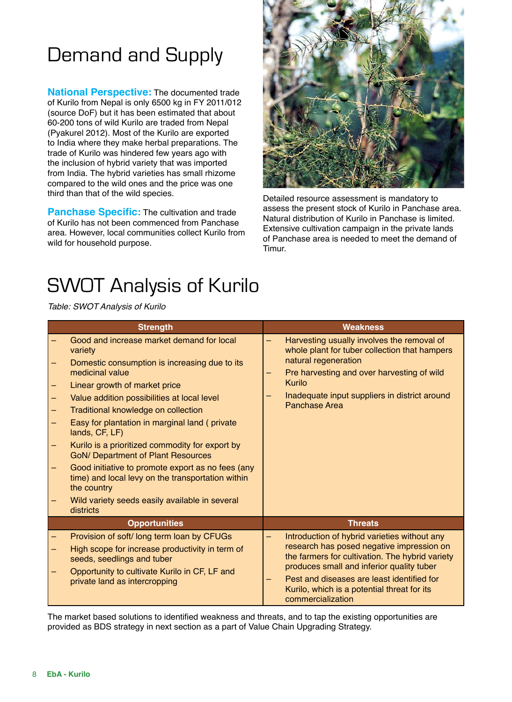# Demand and Supply

**National Perspective:** The documented trade of Kurilo from Nepal is only 6500 kg in FY 2011/012 (source DoF) but it has been estimated that about 60-200 tons of wild Kurilo are traded from Nepal (Pyakurel 2012). Most of the Kurilo are exported to India where they make herbal preparations. The trade of Kurilo was hindered few years ago with the inclusion of hybrid variety that was imported from India. The hybrid varieties has small rhizome compared to the wild ones and the price was one third than that of the wild species.

**Panchase Specific:** The cultivation and trade of Kurilo has not been commenced from Panchase area. However, local communities collect Kurilo from wild for household purpose.



Detailed resource assessment is mandatory to assess the present stock of Kurilo in Panchase area. Natural distribution of Kurilo in Panchase is limited. Extensive cultivation campaign in the private lands of Panchase area is needed to meet the demand of Timur.

# SWOT Analysis of Kurilo

*Table: SWOT Analysis of Kurilo*

| <b>Strength</b>                                                                                                                                                                                                                                                                                                                                                                                                                                                                                                                                                                                            | <b>Weakness</b>                                                                                                                                                                                                                                                                                             |
|------------------------------------------------------------------------------------------------------------------------------------------------------------------------------------------------------------------------------------------------------------------------------------------------------------------------------------------------------------------------------------------------------------------------------------------------------------------------------------------------------------------------------------------------------------------------------------------------------------|-------------------------------------------------------------------------------------------------------------------------------------------------------------------------------------------------------------------------------------------------------------------------------------------------------------|
| Good and increase market demand for local<br>variety<br>Domestic consumption is increasing due to its<br>medicinal value<br>Linear growth of market price<br>Value addition possibilities at local level<br>Traditional knowledge on collection<br>Easy for plantation in marginal land (private<br>lands, CF, LF)<br>Kurilo is a prioritized commodity for export by<br><b>GoN/ Department of Plant Resources</b><br>Good initiative to promote export as no fees (any<br>time) and local levy on the transportation within<br>the country<br>Wild variety seeds easily available in several<br>districts | Harvesting usually involves the removal of<br>whole plant for tuber collection that hampers<br>natural regeneration<br>Pre harvesting and over harvesting of wild<br>Kurilo<br>Inadequate input suppliers in district around<br>Panchase Area                                                               |
| <b>Opportunities</b>                                                                                                                                                                                                                                                                                                                                                                                                                                                                                                                                                                                       | <b>Threats</b>                                                                                                                                                                                                                                                                                              |
| Provision of soft/long term loan by CFUGs<br>High scope for increase productivity in term of<br>seeds, seedlings and tuber<br>Opportunity to cultivate Kurilo in CF, LF and<br>private land as intercropping                                                                                                                                                                                                                                                                                                                                                                                               | Introduction of hybrid varieties without any<br>research has posed negative impression on<br>the farmers for cultivation. The hybrid variety<br>produces small and inferior quality tuber<br>Pest and diseases are least identified for<br>Kurilo, which is a potential threat for its<br>commercialization |

The market based solutions to identified weakness and threats, and to tap the existing opportunities are provided as BDS strategy in next section as a part of Value Chain Upgrading Strategy.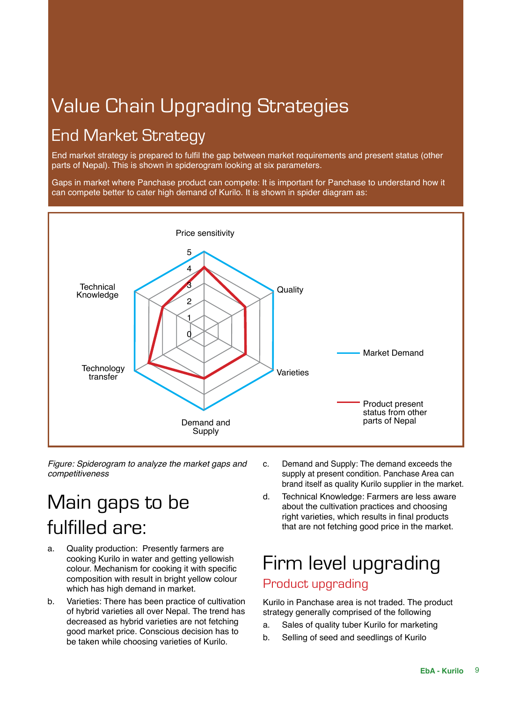# Value Chain Upgrading Strategies

# End Market Strategy

End market strategy is prepared to fulfil the gap between market requirements and present status (other parts of Nepal). This is shown in spiderogram looking at six parameters.

Gaps in market where Panchase product can compete: It is important for Panchase to understand how it can compete better to cater high demand of Kurilo. It is shown in spider diagram as:



*Figure: Spiderogram to analyze the market gaps and competitiveness*

# Main gaps to be fulfilled are:

- a. Quality production: Presently farmers are cooking Kurilo in water and getting yellowish colour. Mechanism for cooking it with specific composition with result in bright yellow colour which has high demand in market.
- b. Varieties: There has been practice of cultivation of hybrid varieties all over Nepal. The trend has decreased as hybrid varieties are not fetching good market price. Conscious decision has to be taken while choosing varieties of Kurilo.
- c. Demand and Supply: The demand exceeds the supply at present condition. Panchase Area can brand itself as quality Kurilo supplier in the market.
- d. Technical Knowledge: Farmers are less aware about the cultivation practices and choosing right varieties, which results in final products that are not fetching good price in the market.

# Firm level upgrading Product upgrading

Kurilo in Panchase area is not traded. The product strategy generally comprised of the following

- a. Sales of quality tuber Kurilo for marketing
- b. Selling of seed and seedlings of Kurilo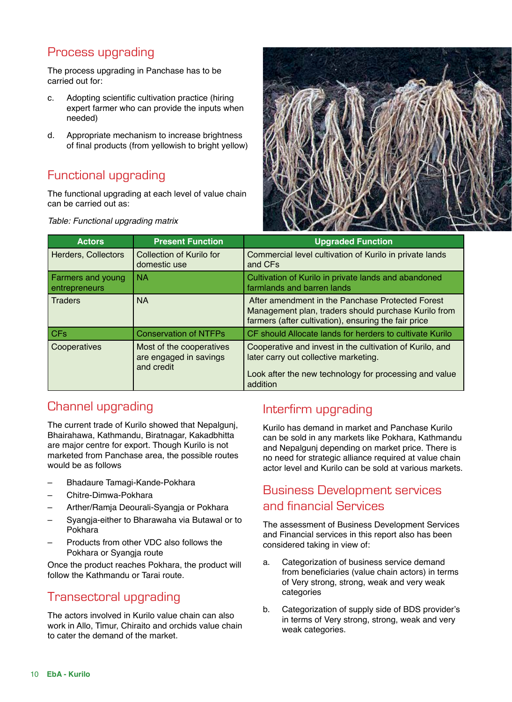# Process upgrading

The process upgrading in Panchase has to be carried out for:

- c. Adopting scientific cultivation practice (hiring expert farmer who can provide the inputs when needed)
- d. Appropriate mechanism to increase brightness of final products (from yellowish to bright yellow)

# Functional upgrading

The functional upgrading at each level of value chain can be carried out as:



*Table: Functional upgrading matrix*

| <b>Actors</b>                      | <b>Present Function</b>                                          | <b>Upgraded Function</b>                                                                                                                                                |
|------------------------------------|------------------------------------------------------------------|-------------------------------------------------------------------------------------------------------------------------------------------------------------------------|
| <b>Herders, Collectors</b>         | Collection of Kurilo for<br>domestic use                         | Commercial level cultivation of Kurilo in private lands<br>and CFs                                                                                                      |
| Farmers and young<br>entrepreneurs | <b>NA</b>                                                        | Cultivation of Kurilo in private lands and abandoned<br>farmlands and barren lands                                                                                      |
| <b>Traders</b>                     | <b>NA</b>                                                        | After amendment in the Panchase Protected Forest<br>Management plan, traders should purchase Kurilo from<br>farmers (after cultivation), ensuring the fair price        |
| <b>CFs</b>                         | <b>Conservation of NTFPs</b>                                     | CF should Allocate lands for herders to cultivate Kurilo                                                                                                                |
| Cooperatives                       | Most of the cooperatives<br>are engaged in savings<br>and credit | Cooperative and invest in the cultivation of Kurilo, and<br>later carry out collective marketing.<br>Look after the new technology for processing and value<br>addition |

# Channel upgrading

The current trade of Kurilo showed that Nepalgunj, Bhairahawa, Kathmandu, Biratnagar, Kakadbhitta are major centre for export. Though Kurilo is not marketed from Panchase area, the possible routes would be as follows

- Bhadaure Tamagi-Kande-Pokhara
- Chitre-Dimwa-Pokhara
- Arther/Ramja Deourali-Syangja or Pokhara
- Syangja-either to Bharawaha via Butawal or to Pokhara
- Products from other VDC also follows the Pokhara or Syangja route

Once the product reaches Pokhara, the product will follow the Kathmandu or Tarai route.

# Transectoral upgrading

The actors involved in Kurilo value chain can also work in Allo, Timur, Chiraito and orchids value chain to cater the demand of the market.

# Interfirm upgrading

Kurilo has demand in market and Panchase Kurilo can be sold in any markets like Pokhara, Kathmandu and Nepalgunj depending on market price. There is no need for strategic alliance required at value chain actor level and Kurilo can be sold at various markets.

# Business Development services and financial Services

The assessment of Business Development Services and Financial services in this report also has been considered taking in view of:

- a. Categorization of business service demand from beneficiaries (value chain actors) in terms of Very strong, strong, weak and very weak categories
- b. Categorization of supply side of BDS provider's in terms of Very strong, strong, weak and very weak categories.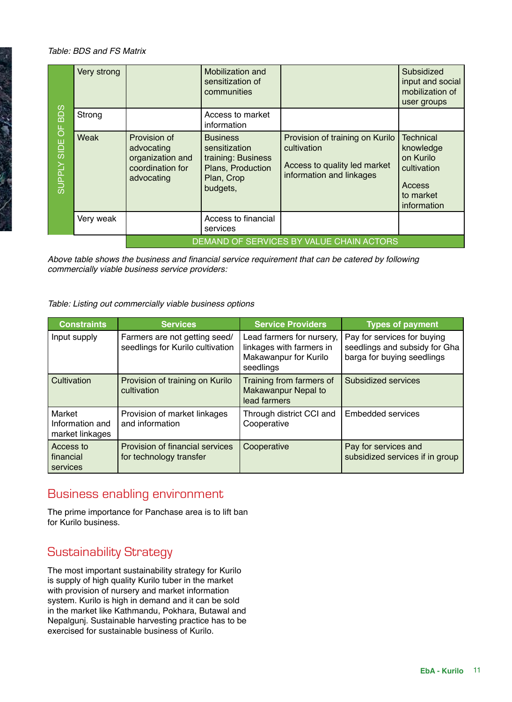### *Table: BDS and FS Matrix*

**CONTRACTOR** 

|                              | Very strong                              |                                                                                  | Mobilization and<br>sensitization of<br>communities                                                   |                                                                                                            | Subsidized<br>input and social<br>mobilization of<br>user groups                                |
|------------------------------|------------------------------------------|----------------------------------------------------------------------------------|-------------------------------------------------------------------------------------------------------|------------------------------------------------------------------------------------------------------------|-------------------------------------------------------------------------------------------------|
| <b>BDS</b><br>$\overline{0}$ | Strong                                   |                                                                                  | Access to market<br>information                                                                       |                                                                                                            |                                                                                                 |
| SIDE<br><b>Addans</b>        | Weak                                     | Provision of<br>advocating<br>organization and<br>coordination for<br>advocating | <b>Business</b><br>sensitization<br>training: Business<br>Plans, Production<br>Plan, Crop<br>budgets, | Provision of training on Kurilo<br>cultivation<br>Access to quality led market<br>information and linkages | <b>Technical</b><br>knowledge<br>on Kurilo<br>cultivation<br>Access<br>to market<br>information |
|                              | Very weak                                |                                                                                  | Access to financial<br>services                                                                       |                                                                                                            |                                                                                                 |
|                              | DEMAND OF SERVICES BY VALUE CHAIN ACTORS |                                                                                  |                                                                                                       |                                                                                                            |                                                                                                 |

Above table shows the business and financial service requirement that can be catered by following *commercially viable business service providers:* 

### *Table: Listing out commercially viable business options*

| <b>Constraints</b>                           | <b>Services</b>                                                   | <b>Service Providers</b>                                                                    | <b>Types of payment</b>                                                                    |
|----------------------------------------------|-------------------------------------------------------------------|---------------------------------------------------------------------------------------------|--------------------------------------------------------------------------------------------|
| Input supply                                 | Farmers are not getting seed/<br>seedlings for Kurilo cultivation | Lead farmers for nursery,<br>linkages with farmers in<br>Makawanpur for Kurilo<br>seedlings | Pay for services for buying<br>seedlings and subsidy for Gha<br>barga for buying seedlings |
| Cultivation                                  | Provision of training on Kurilo<br>cultivation                    | Training from farmers of<br><b>Makawanpur Nepal to</b><br>lead farmers                      | Subsidized services                                                                        |
| Market<br>Information and<br>market linkages | Provision of market linkages<br>and information                   | Through district CCI and<br>Cooperative                                                     | Embedded services                                                                          |
| Access to<br>financial<br>services           | Provision of financial services<br>for technology transfer        | Cooperative                                                                                 | Pay for services and<br>subsidized services if in group                                    |

# Business enabling environment

The prime importance for Panchase area is to lift ban for Kurilo business.

# Sustainability Strategy

The most important sustainability strategy for Kurilo is supply of high quality Kurilo tuber in the market with provision of nursery and market information system. Kurilo is high in demand and it can be sold in the market like Kathmandu, Pokhara, Butawal and Nepalgunj. Sustainable harvesting practice has to be exercised for sustainable business of Kurilo.